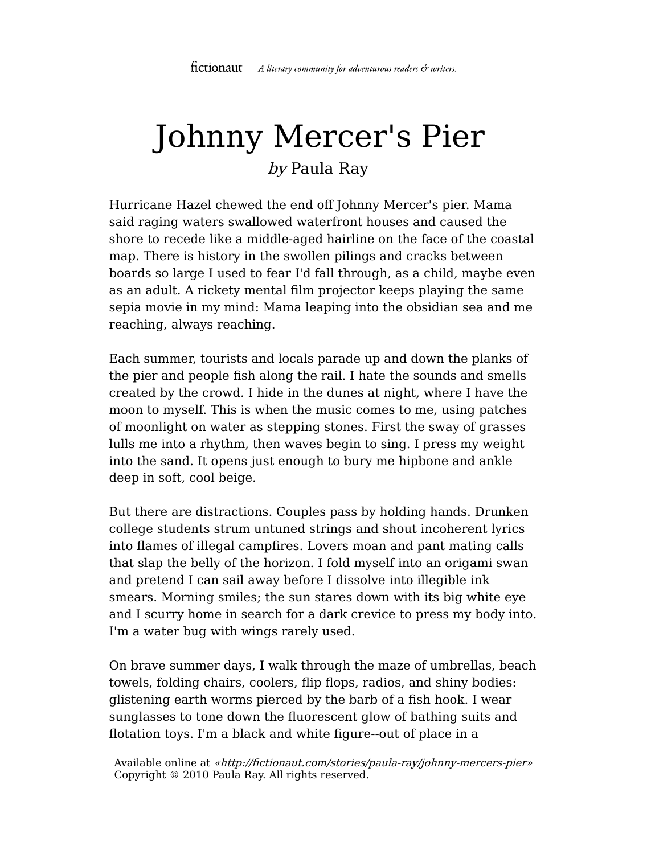## Johnny Mercer's Pier by Paula Ray

Hurricane Hazel chewed the end off Johnny Mercer's pier. Mama said raging waters swallowed waterfront houses and caused the shore to recede like a middle-aged hairline on the face of the coastal map. There is history in the swollen pilings and cracks between boards so large I used to fear I'd fall through, as a child, maybe even as an adult. A rickety mental film projector keeps playing the same sepia movie in my mind: Mama leaping into the obsidian sea and me reaching, always reaching.

Each summer, tourists and locals parade up and down the planks of the pier and people fish along the rail. I hate the sounds and smells created by the crowd. I hide in the dunes at night, where I have the moon to myself. This is when the music comes to me, using patches of moonlight on water as stepping stones. First the sway of grasses lulls me into a rhythm, then waves begin to sing. I press my weight into the sand. It opens just enough to bury me hipbone and ankle deep in soft, cool beige.

But there are distractions. Couples pass by holding hands. Drunken college students strum untuned strings and shout incoherent lyrics into flames of illegal campfires. Lovers moan and pant mating calls that slap the belly of the horizon. I fold myself into an origami swan and pretend I can sail away before I dissolve into illegible ink smears. Morning smiles; the sun stares down with its big white eye and I scurry home in search for a dark crevice to press my body into. I'm a water bug with wings rarely used.

On brave summer days, I walk through the maze of umbrellas, beach towels, folding chairs, coolers, flip flops, radios, and shiny bodies: glistening earth worms pierced by the barb of a fish hook. I wear sunglasses to tone down the fluorescent glow of bathing suits and flotation toys. I'm a black and white figure--out of place in a

Available online at «http://fictionaut.com/stories/paula-ray/johnny-mercers-pier» Copyright © 2010 Paula Ray. All rights reserved.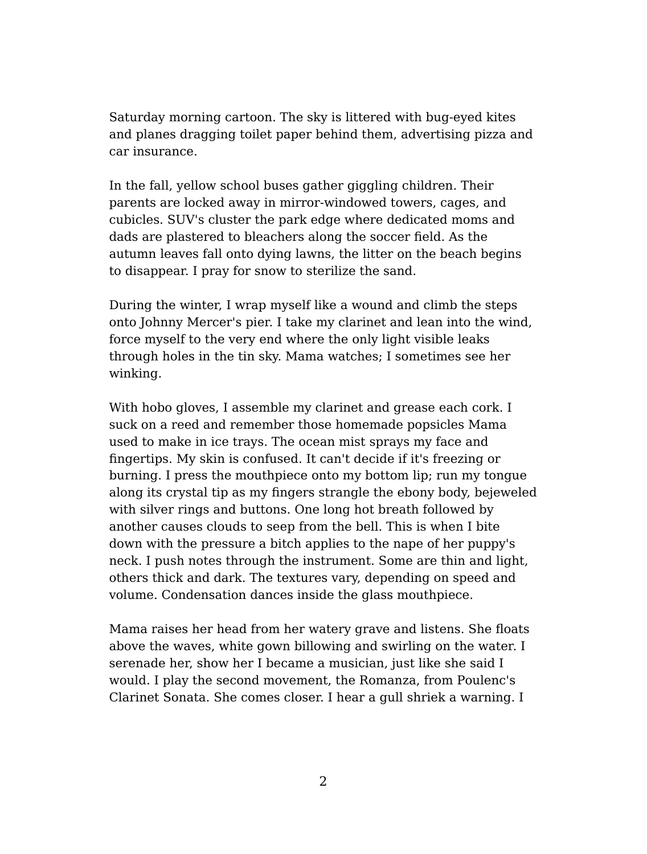Saturday morning cartoon. The sky is littered with bug-eyed kites and planes dragging toilet paper behind them, advertising pizza and car insurance.

In the fall, yellow school buses gather giggling children. Their parents are locked away in mirror-windowed towers, cages, and cubicles. SUV's cluster the park edge where dedicated moms and dads are plastered to bleachers along the soccer field. As the autumn leaves fall onto dying lawns, the litter on the beach begins to disappear. I pray for snow to sterilize the sand.

During the winter, I wrap myself like a wound and climb the steps onto Johnny Mercer's pier. I take my clarinet and lean into the wind, force myself to the very end where the only light visible leaks through holes in the tin sky. Mama watches; I sometimes see her winking.

With hobo gloves, I assemble my clarinet and grease each cork. I suck on a reed and remember those homemade popsicles Mama used to make in ice trays. The ocean mist sprays my face and fingertips. My skin is confused. It can't decide if it's freezing or burning. I press the mouthpiece onto my bottom lip; run my tongue along its crystal tip as my fingers strangle the ebony body, bejeweled with silver rings and buttons. One long hot breath followed by another causes clouds to seep from the bell. This is when I bite down with the pressure a bitch applies to the nape of her puppy's neck. I push notes through the instrument. Some are thin and light, others thick and dark. The textures vary, depending on speed and volume. Condensation dances inside the glass mouthpiece.

Mama raises her head from her watery grave and listens. She floats above the waves, white gown billowing and swirling on the water. I serenade her, show her I became a musician, just like she said I would. I play the second movement, the Romanza, from Poulenc's Clarinet Sonata. She comes closer. I hear a gull shriek a warning. I